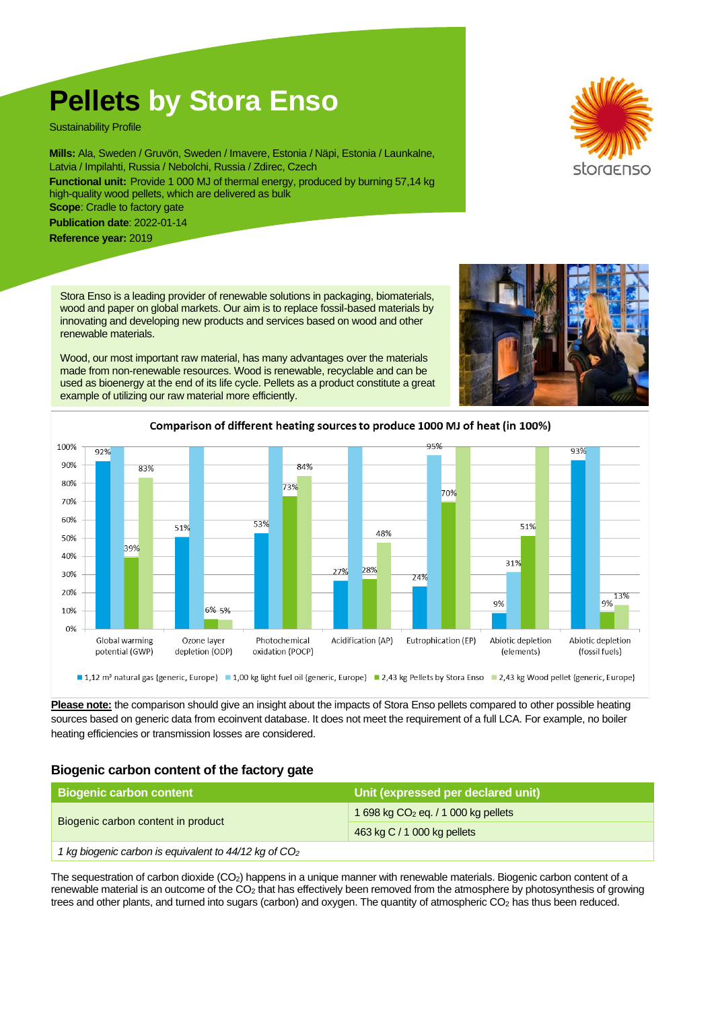# **Pellets by Stora Enso**

Sustainability Profile

**Mills:** Ala, Sweden / Gruvön, Sweden / Imavere, Estonia / Näpi, Estonia / Launkalne, Latvia / Impilahti, Russia / Nebolchi, Russia / Zdirec, Czech **Functional unit:** Provide 1 000 MJ of thermal energy, produced by burning 57,14 kg high-quality wood pellets, which are delivered as bulk **Scope:** Cradle to factory gate

**Publication date**: 2022-01-14

**Reference year:** 2019

Stora Enso is a leading provider of renewable solutions in packaging, biomaterials, wood and paper on global markets. Our aim is to replace fossil-based materials by innovating and developing new products and services based on wood and other renewable materials.

Wood, our most important raw material, has many advantages over the materials made from non-renewable resources. Wood is renewable, recyclable and can be used as bioenergy at the end of its life cycle. Pellets as a product constitute a great example of utilizing our raw material more efficiently.





**Please note:** the comparison should give an insight about the impacts of Stora Enso pellets compared to other possible heating sources based on generic data from ecoinvent database. It does not meet the requirement of a full LCA. For example, no boiler heating efficiencies or transmission losses are considered.

## **Biogenic carbon content of the factory gate**

| <b>Biogenic carbon content</b>                                    | Unit (expressed per declared unit)    |  |
|-------------------------------------------------------------------|---------------------------------------|--|
| Biogenic carbon content in product                                | 1 698 kg $CO2$ eq. / 1 000 kg pellets |  |
|                                                                   | 463 kg C / 1 000 kg pellets           |  |
| 1 kg biogenic carbon is equivalent to 44/12 kg of CO <sub>2</sub> |                                       |  |

The sequestration of carbon dioxide (CO2) happens in a unique manner with renewable materials. Biogenic carbon content of a renewable material is an outcome of the CO<sub>2</sub> that has effectively been removed from the atmosphere by photosynthesis of growing trees and other plants, and turned into sugars (carbon) and oxygen. The quantity of atmospheric CO<sup>2</sup> has thus been reduced.